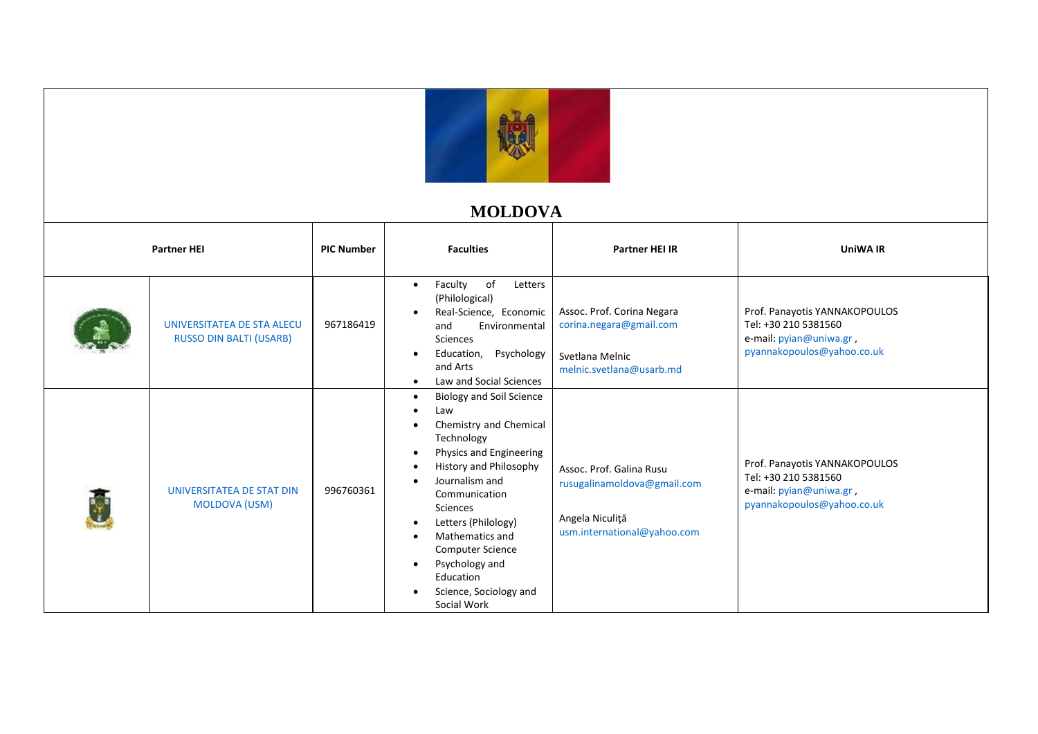

## **MOLDOVA**

| <b>Partner HEI</b> |                                                              | <b>PIC Number</b> | <b>Faculties</b>                                                                                                                                                                                                                                                                                                                                                                                                                  | <b>Partner HEI IR</b>                                                                                     | <b>UniWA IR</b>                                                                                                |
|--------------------|--------------------------------------------------------------|-------------------|-----------------------------------------------------------------------------------------------------------------------------------------------------------------------------------------------------------------------------------------------------------------------------------------------------------------------------------------------------------------------------------------------------------------------------------|-----------------------------------------------------------------------------------------------------------|----------------------------------------------------------------------------------------------------------------|
|                    | UNIVERSITATEA DE STA ALECU<br><b>RUSSO DIN BALTI (USARB)</b> | 967186419         | of<br>Faculty<br>Letters<br>$\bullet$<br>(Philological)<br>Real-Science, Economic<br>Environmental<br>and<br>Sciences<br>Psychology<br>Education,<br>$\bullet$<br>and Arts<br>Law and Social Sciences<br>$\bullet$                                                                                                                                                                                                                | Assoc. Prof. Corina Negara<br>corina.negara@gmail.com<br>Svetlana Melnic<br>melnic.svetlana@usarb.md      | Prof. Panayotis YANNAKOPOULOS<br>Tel: +30 210 5381560<br>e-mail: pyian@uniwa.gr,<br>pyannakopoulos@yahoo.co.uk |
|                    | UNIVERSITATEA DE STAT DIN<br><b>MOLDOVA (USM)</b>            | 996760361         | <b>Biology and Soil Science</b><br>$\bullet$<br>Law<br>Chemistry and Chemical<br>$\bullet$<br>Technology<br>Physics and Engineering<br>$\bullet$<br>History and Philosophy<br>$\bullet$<br>Journalism and<br>Communication<br><b>Sciences</b><br>Letters (Philology)<br>$\bullet$<br>Mathematics and<br>$\bullet$<br><b>Computer Science</b><br>Psychology and<br>$\bullet$<br>Education<br>Science, Sociology and<br>Social Work | Assoc. Prof. Galina Rusu<br>rusugalinamoldova@gmail.com<br>Angela Niculiță<br>usm.international@yahoo.com | Prof. Panayotis YANNAKOPOULOS<br>Tel: +30 210 5381560<br>e-mail: pyian@uniwa.gr,<br>pyannakopoulos@yahoo.co.uk |